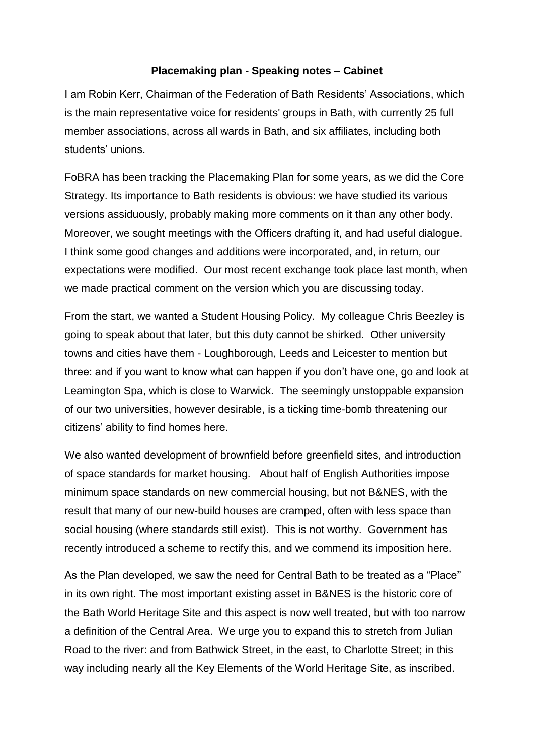## **Placemaking plan - Speaking notes – Cabinet**

I am Robin Kerr, Chairman of the Federation of Bath Residents' Associations, which is the main representative voice for residents' groups in Bath, with currently 25 full member associations, across all wards in Bath, and six affiliates, including both students' unions.

FoBRA has been tracking the Placemaking Plan for some years, as we did the Core Strategy. Its importance to Bath residents is obvious: we have studied its various versions assiduously, probably making more comments on it than any other body. Moreover, we sought meetings with the Officers drafting it, and had useful dialogue. I think some good changes and additions were incorporated, and, in return, our expectations were modified. Our most recent exchange took place last month, when we made practical comment on the version which you are discussing today.

From the start, we wanted a Student Housing Policy. My colleague Chris Beezley is going to speak about that later, but this duty cannot be shirked. Other university towns and cities have them - Loughborough, Leeds and Leicester to mention but three: and if you want to know what can happen if you don't have one, go and look at Leamington Spa, which is close to Warwick. The seemingly unstoppable expansion of our two universities, however desirable, is a ticking time-bomb threatening our citizens' ability to find homes here.

We also wanted development of brownfield before greenfield sites, and introduction of space standards for market housing. About half of English Authorities impose minimum space standards on new commercial housing, but not B&NES, with the result that many of our new-build houses are cramped, often with less space than social housing (where standards still exist). This is not worthy. Government has recently introduced a scheme to rectify this, and we commend its imposition here.

As the Plan developed, we saw the need for Central Bath to be treated as a "Place" in its own right. The most important existing asset in B&NES is the historic core of the Bath World Heritage Site and this aspect is now well treated, but with too narrow a definition of the Central Area. We urge you to expand this to stretch from Julian Road to the river: and from Bathwick Street, in the east, to Charlotte Street; in this way including nearly all the Key Elements of the World Heritage Site, as inscribed.